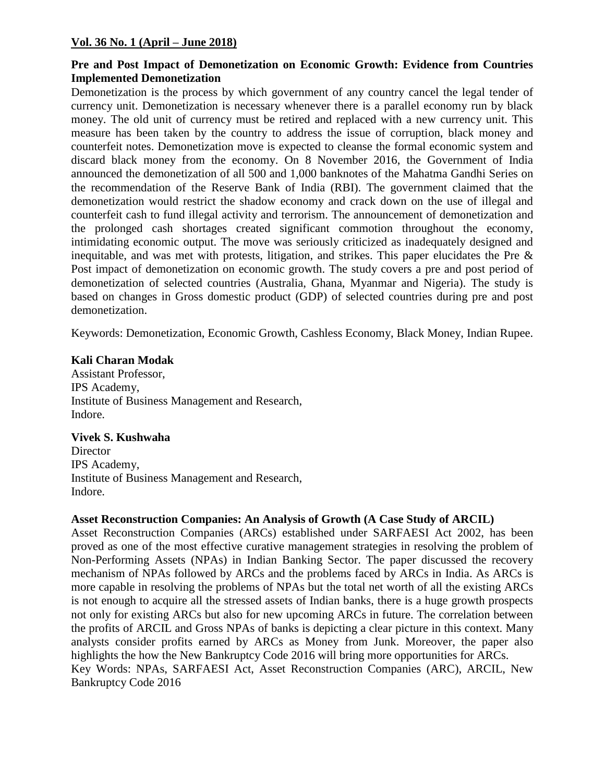## **Vol. 36 No. 1 (April – June 2018)**

### **Pre and Post Impact of Demonetization on Economic Growth: Evidence from Countries Implemented Demonetization**

Demonetization is the process by which government of any country cancel the legal tender of currency unit. Demonetization is necessary whenever there is a parallel economy run by black money. The old unit of currency must be retired and replaced with a new currency unit. This measure has been taken by the country to address the issue of corruption, black money and counterfeit notes. Demonetization move is expected to cleanse the formal economic system and discard black money from the economy. On 8 November 2016, the Government of India announced the demonetization of all 500 and 1,000 banknotes of the Mahatma Gandhi Series on the recommendation of the Reserve Bank of India (RBI). The government claimed that the demonetization would restrict the shadow economy and crack down on the use of illegal and counterfeit cash to fund illegal activity and terrorism. The announcement of demonetization and the prolonged cash shortages created significant commotion throughout the economy, intimidating economic output. The move was seriously criticized as inadequately designed and inequitable, and was met with protests, litigation, and strikes. This paper elucidates the Pre & Post impact of demonetization on economic growth. The study covers a pre and post period of demonetization of selected countries (Australia, Ghana, Myanmar and Nigeria). The study is based on changes in Gross domestic product (GDP) of selected countries during pre and post demonetization.

Keywords: Demonetization, Economic Growth, Cashless Economy, Black Money, Indian Rupee.

#### **Kali Charan Modak**

Assistant Professor, IPS Academy, Institute of Business Management and Research, Indore.

#### **Vivek S. Kushwaha**

**Director** IPS Academy, Institute of Business Management and Research, Indore.

# **Asset Reconstruction Companies: An Analysis of Growth (A Case Study of ARCIL)**

Asset Reconstruction Companies (ARCs) established under SARFAESI Act 2002, has been proved as one of the most effective curative management strategies in resolving the problem of Non-Performing Assets (NPAs) in Indian Banking Sector. The paper discussed the recovery mechanism of NPAs followed by ARCs and the problems faced by ARCs in India. As ARCs is more capable in resolving the problems of NPAs but the total net worth of all the existing ARCs is not enough to acquire all the stressed assets of Indian banks, there is a huge growth prospects not only for existing ARCs but also for new upcoming ARCs in future. The correlation between the profits of ARCIL and Gross NPAs of banks is depicting a clear picture in this context. Many analysts consider profits earned by ARCs as Money from Junk. Moreover, the paper also highlights the how the New Bankruptcy Code 2016 will bring more opportunities for ARCs. Key Words: NPAs, SARFAESI Act, Asset Reconstruction Companies (ARC), ARCIL, New Bankruptcy Code 2016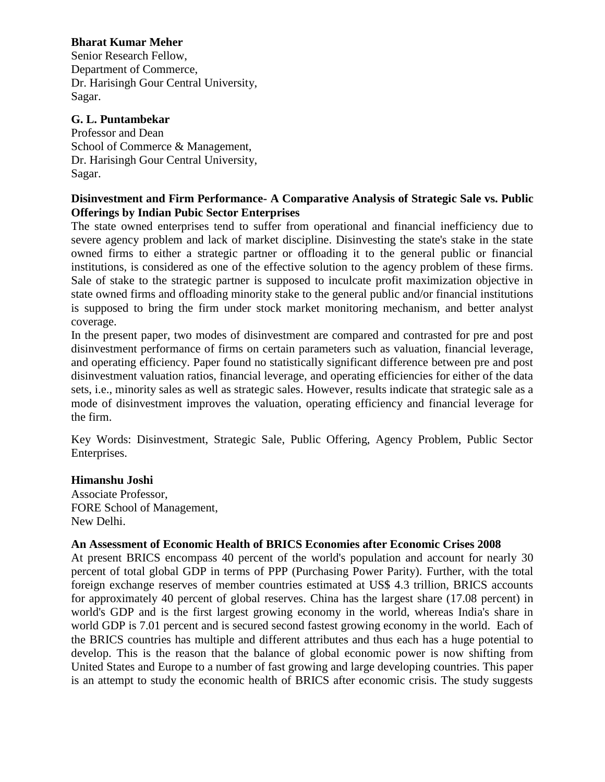# **Bharat Kumar Meher**

Senior Research Fellow, Department of Commerce, Dr. Harisingh Gour Central University, Sagar.

# **G. L. Puntambekar**

Professor and Dean School of Commerce & Management, Dr. Harisingh Gour Central University, Sagar.

### **Disinvestment and Firm Performance- A Comparative Analysis of Strategic Sale vs. Public Offerings by Indian Pubic Sector Enterprises**

The state owned enterprises tend to suffer from operational and financial inefficiency due to severe agency problem and lack of market discipline. Disinvesting the state's stake in the state owned firms to either a strategic partner or offloading it to the general public or financial institutions, is considered as one of the effective solution to the agency problem of these firms. Sale of stake to the strategic partner is supposed to inculcate profit maximization objective in state owned firms and offloading minority stake to the general public and/or financial institutions is supposed to bring the firm under stock market monitoring mechanism, and better analyst coverage.

In the present paper, two modes of disinvestment are compared and contrasted for pre and post disinvestment performance of firms on certain parameters such as valuation, financial leverage, and operating efficiency. Paper found no statistically significant difference between pre and post disinvestment valuation ratios, financial leverage, and operating efficiencies for either of the data sets, i.e., minority sales as well as strategic sales. However, results indicate that strategic sale as a mode of disinvestment improves the valuation, operating efficiency and financial leverage for the firm.

Key Words: Disinvestment, Strategic Sale, Public Offering, Agency Problem, Public Sector Enterprises.

# **Himanshu Joshi**

Associate Professor, FORE School of Management, New Delhi.

#### **An Assessment of Economic Health of BRICS Economies after Economic Crises 2008**

At present BRICS encompass 40 percent of the world's population and account for nearly 30 percent of total global GDP in terms of PPP (Purchasing Power Parity). Further, with the total foreign exchange reserves of member countries estimated at US\$ 4.3 trillion, BRICS accounts for approximately 40 percent of global reserves. China has the largest share (17.08 percent) in world's GDP and is the first largest growing economy in the world, whereas India's share in world GDP is 7.01 percent and is secured second fastest growing economy in the world. Each of the BRICS countries has multiple and different attributes and thus each has a huge potential to develop. This is the reason that the balance of global economic power is now shifting from United States and Europe to a number of fast growing and large developing countries. This paper is an attempt to study the economic health of BRICS after economic crisis. The study suggests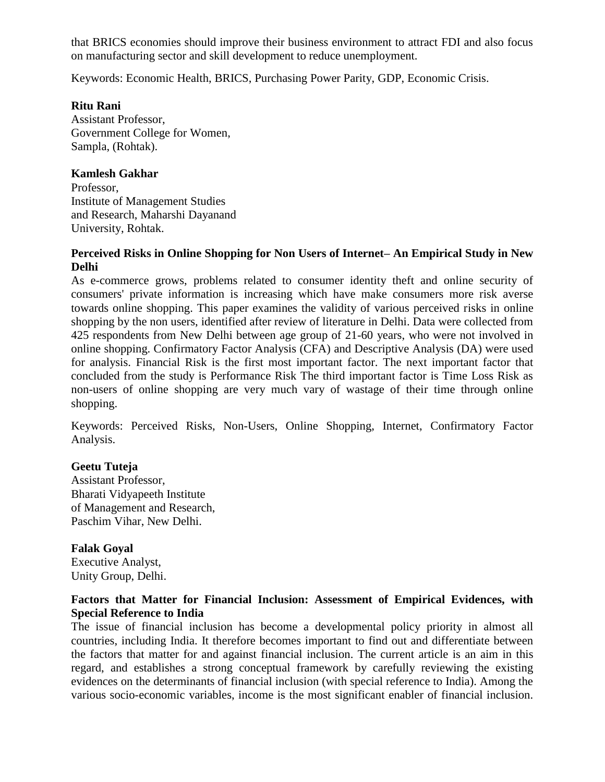that BRICS economies should improve their business environment to attract FDI and also focus on manufacturing sector and skill development to reduce unemployment.

Keywords: Economic Health, BRICS, Purchasing Power Parity, GDP, Economic Crisis.

## **Ritu Rani**

Assistant Professor, Government College for Women, Sampla, (Rohtak).

### **Kamlesh Gakhar**

Professor, Institute of Management Studies and Research, Maharshi Dayanand University, Rohtak.

### **Perceived Risks in Online Shopping for Non Users of Internet– An Empirical Study in New Delhi**

As e-commerce grows, problems related to consumer identity theft and online security of consumers' private information is increasing which have make consumers more risk averse towards online shopping. This paper examines the validity of various perceived risks in online shopping by the non users, identified after review of literature in Delhi. Data were collected from 425 respondents from New Delhi between age group of 21-60 years, who were not involved in online shopping. Confirmatory Factor Analysis (CFA) and Descriptive Analysis (DA) were used for analysis. Financial Risk is the first most important factor. The next important factor that concluded from the study is Performance Risk The third important factor is Time Loss Risk as non-users of online shopping are very much vary of wastage of their time through online shopping.

Keywords: Perceived Risks, Non-Users, Online Shopping, Internet, Confirmatory Factor Analysis.

# **Geetu Tuteja**

Assistant Professor, Bharati Vidyapeeth Institute of Management and Research, Paschim Vihar, New Delhi.

# **Falak Goyal**

Executive Analyst, Unity Group, Delhi.

## **Factors that Matter for Financial Inclusion: Assessment of Empirical Evidences, with Special Reference to India**

The issue of financial inclusion has become a developmental policy priority in almost all countries, including India. It therefore becomes important to find out and differentiate between the factors that matter for and against financial inclusion. The current article is an aim in this regard, and establishes a strong conceptual framework by carefully reviewing the existing evidences on the determinants of financial inclusion (with special reference to India). Among the various socio-economic variables, income is the most significant enabler of financial inclusion.